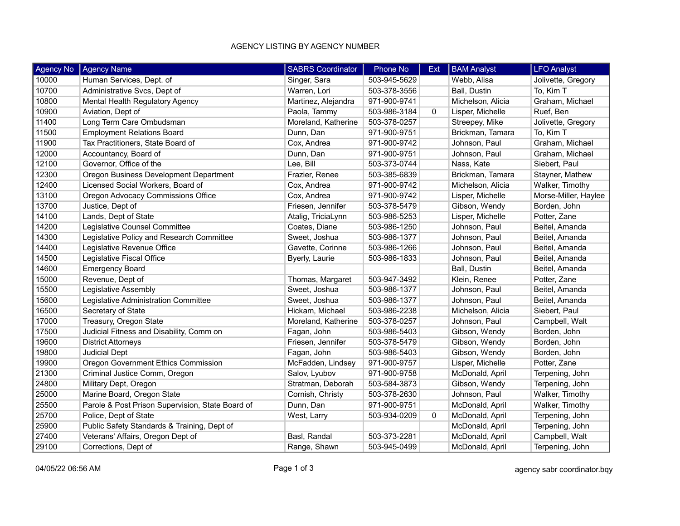## AGENCY LISTING BY AGENCY NUMBER

| <b>Agency No</b> | <b>Agency Name</b>                               | <b>SABRS Coordinator</b> | <b>Phone No</b> | Ext          | <b>BAM Analyst</b> | <b>LFO Analyst</b>   |
|------------------|--------------------------------------------------|--------------------------|-----------------|--------------|--------------------|----------------------|
| 10000            | Human Services, Dept. of                         | Singer, Sara             | 503-945-5629    |              | Webb, Alisa        | Jolivette, Gregory   |
| 10700            | Administrative Svcs, Dept of                     | Warren, Lori             | 503-378-3556    |              | Ball, Dustin       | To, Kim T            |
| 10800            | Mental Health Regulatory Agency                  | Martinez, Alejandra      | 971-900-9741    |              | Michelson, Alicia  | Graham, Michael      |
| 10900            | Aviation, Dept of                                | Paola, Tammy             | 503-986-3184    | $\mathbf{0}$ | Lisper, Michelle   | Ruef, Ben            |
| 11400            | Long Term Care Ombudsman                         | Moreland, Katherine      | 503-378-0257    |              | Streepey, Mike     | Jolivette, Gregory   |
| 11500            | <b>Employment Relations Board</b>                | Dunn, Dan                | 971-900-9751    |              | Brickman, Tamara   | To, Kim T            |
| 11900            | Tax Practitioners, State Board of                | Cox, Andrea              | 971-900-9742    |              | Johnson, Paul      | Graham, Michael      |
| 12000            | Accountancy, Board of                            | Dunn, Dan                | 971-900-9751    |              | Johnson, Paul      | Graham, Michael      |
| 12100            | Governor, Office of the                          | Lee, Bill                | 503-373-0744    |              | Nass, Kate         | Siebert, Paul        |
| 12300            | Oregon Business Development Department           | Frazier, Renee           | 503-385-6839    |              | Brickman, Tamara   | Stayner, Mathew      |
| 12400            | Licensed Social Workers, Board of                | Cox, Andrea              | 971-900-9742    |              | Michelson, Alicia  | Walker, Timothy      |
| 13100            | Oregon Advocacy Commissions Office               | Cox, Andrea              | 971-900-9742    |              | Lisper, Michelle   | Morse-Miller, Haylee |
| 13700            | Justice, Dept of                                 | Friesen, Jennifer        | 503-378-5479    |              | Gibson, Wendy      | Borden, John         |
| 14100            | Lands, Dept of State                             | Atalig, TriciaLynn       | 503-986-5253    |              | Lisper, Michelle   | Potter, Zane         |
| 14200            | Legislative Counsel Committee                    | Coates, Diane            | 503-986-1250    |              | Johnson, Paul      | Beitel, Amanda       |
| 14300            | Legislative Policy and Research Committee        | Sweet, Joshua            | 503-986-1377    |              | Johnson, Paul      | Beitel, Amanda       |
| 14400            | Legislative Revenue Office                       | Gavette, Corinne         | 503-986-1266    |              | Johnson, Paul      | Beitel, Amanda       |
| 14500            | Legislative Fiscal Office                        | Byerly, Laurie           | 503-986-1833    |              | Johnson, Paul      | Beitel, Amanda       |
| 14600            | <b>Emergency Board</b>                           |                          |                 |              | Ball, Dustin       | Beitel, Amanda       |
| 15000            | Revenue, Dept of                                 | Thomas, Margaret         | 503-947-3492    |              | Klein, Renee       | Potter, Zane         |
| 15500            | Legislative Assembly                             | Sweet, Joshua            | 503-986-1377    |              | Johnson, Paul      | Beitel, Amanda       |
| 15600            | Legislative Administration Committee             | Sweet, Joshua            | 503-986-1377    |              | Johnson, Paul      | Beitel, Amanda       |
| 16500            | Secretary of State                               | Hickam, Michael          | 503-986-2238    |              | Michelson, Alicia  | Siebert, Paul        |
| 17000            | Treasury, Oregon State                           | Moreland, Katherine      | 503-378-0257    |              | Johnson, Paul      | Campbell, Walt       |
| 17500            | Judicial Fitness and Disability, Comm on         | Fagan, John              | 503-986-5403    |              | Gibson, Wendy      | Borden, John         |
| 19600            | <b>District Attorneys</b>                        | Friesen, Jennifer        | 503-378-5479    |              | Gibson, Wendy      | Borden, John         |
| 19800            | <b>Judicial Dept</b>                             | Fagan, John              | 503-986-5403    |              | Gibson, Wendy      | Borden, John         |
| 19900            | Oregon Government Ethics Commission              | McFadden, Lindsey        | 971-900-9757    |              | Lisper, Michelle   | Potter, Zane         |
| 21300            | Criminal Justice Comm, Oregon                    | Salov, Lyubov            | 971-900-9758    |              | McDonald, April    | Terpening, John      |
| 24800            | Military Dept, Oregon                            | Stratman, Deborah        | 503-584-3873    |              | Gibson, Wendy      | Terpening, John      |
| 25000            | Marine Board, Oregon State                       | Cornish, Christy         | 503-378-2630    |              | Johnson, Paul      | Walker, Timothy      |
| 25500            | Parole & Post Prison Supervision, State Board of | Dunn, Dan                | 971-900-9751    |              | McDonald, April    | Walker, Timothy      |
| 25700            | Police, Dept of State                            | West, Larry              | 503-934-0209    | $\mathbf{0}$ | McDonald, April    | Terpening, John      |
| 25900            | Public Safety Standards & Training, Dept of      |                          |                 |              | McDonald, April    | Terpening, John      |
| 27400            | Veterans' Affairs, Oregon Dept of                | Basl, Randal             | 503-373-2281    |              | McDonald, April    | Campbell, Walt       |
| 29100            | Corrections, Dept of                             | Range, Shawn             | 503-945-0499    |              | McDonald, April    | Terpening, John      |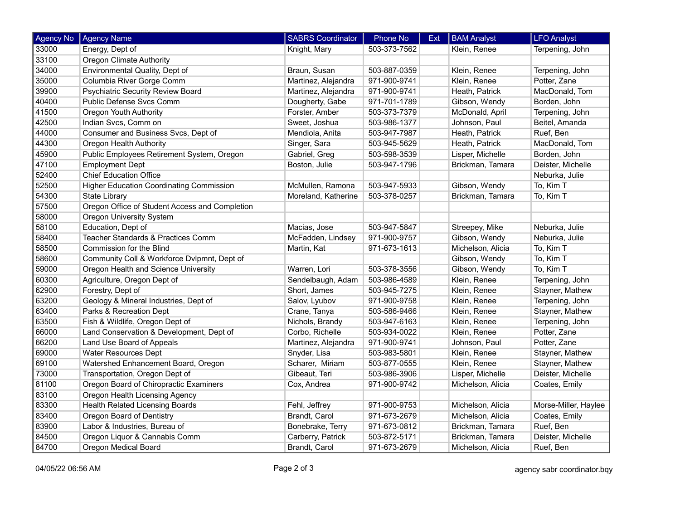| Agency No | <b>Agency Name</b>                              | <b>SABRS Coordinator</b> | Phone No     | Ext | <b>BAM Analyst</b> | <b>LFO Analyst</b>   |
|-----------|-------------------------------------------------|--------------------------|--------------|-----|--------------------|----------------------|
| 33000     | Energy, Dept of                                 | Knight, Mary             | 503-373-7562 |     | Klein, Renee       | Terpening, John      |
| 33100     | <b>Oregon Climate Authority</b>                 |                          |              |     |                    |                      |
| 34000     | Environmental Quality, Dept of                  | Braun, Susan             | 503-887-0359 |     | Klein, Renee       | Terpening, John      |
| 35000     | Columbia River Gorge Comm                       | Martinez, Alejandra      | 971-900-9741 |     | Klein, Renee       | Potter, Zane         |
| 39900     | <b>Psychiatric Security Review Board</b>        | Martinez, Alejandra      | 971-900-9741 |     | Heath, Patrick     | MacDonald, Tom       |
| 40400     | Public Defense Svcs Comm                        | Dougherty, Gabe          | 971-701-1789 |     | Gibson, Wendy      | Borden, John         |
| 41500     | <b>Oregon Youth Authority</b>                   | Forster, Amber           | 503-373-7379 |     | McDonald, April    | Terpening, John      |
| 42500     | Indian Svcs, Comm on                            | Sweet, Joshua            | 503-986-1377 |     | Johnson, Paul      | Beitel, Amanda       |
| 44000     | Consumer and Business Svcs, Dept of             | Mendiola, Anita          | 503-947-7987 |     | Heath, Patrick     | Ruef, Ben            |
| 44300     | Oregon Health Authority                         | Singer, Sara             | 503-945-5629 |     | Heath, Patrick     | MacDonald, Tom       |
| 45900     | Public Employees Retirement System, Oregon      | Gabriel, Greg            | 503-598-3539 |     | Lisper, Michelle   | Borden, John         |
| 47100     | <b>Employment Dept</b>                          | Boston, Julie            | 503-947-1796 |     | Brickman, Tamara   | Deister, Michelle    |
| 52400     | <b>Chief Education Office</b>                   |                          |              |     |                    | Neburka, Julie       |
| 52500     | <b>Higher Education Coordinating Commission</b> | McMullen, Ramona         | 503-947-5933 |     | Gibson, Wendy      | To, Kim T            |
| 54300     | <b>State Library</b>                            | Moreland, Katherine      | 503-378-0257 |     | Brickman, Tamara   | To, Kim T            |
| 57500     | Oregon Office of Student Access and Completion  |                          |              |     |                    |                      |
| 58000     | <b>Oregon University System</b>                 |                          |              |     |                    |                      |
| 58100     | Education, Dept of                              | Macias, Jose             | 503-947-5847 |     | Streepey, Mike     | Neburka, Julie       |
| 58400     | Teacher Standards & Practices Comm              | McFadden, Lindsey        | 971-900-9757 |     | Gibson, Wendy      | Neburka, Julie       |
| 58500     | Commission for the Blind                        | Martin, Kat              | 971-673-1613 |     | Michelson, Alicia  | To, Kim T            |
| 58600     | Community Coll & Workforce Dvlpmnt, Dept of     |                          |              |     | Gibson, Wendy      | To, Kim T            |
| 59000     | Oregon Health and Science University            | Warren, Lori             | 503-378-3556 |     | Gibson, Wendy      | To, Kim T            |
| 60300     | Agriculture, Oregon Dept of                     | Sendelbaugh, Adam        | 503-986-4589 |     | Klein, Renee       | Terpening, John      |
| 62900     | Forestry, Dept of                               | Short, James             | 503-945-7275 |     | Klein, Renee       | Stayner, Mathew      |
| 63200     | Geology & Mineral Industries, Dept of           | Salov, Lyubov            | 971-900-9758 |     | Klein, Renee       | Terpening, John      |
| 63400     | Parks & Recreation Dept                         | Crane, Tanya             | 503-586-9466 |     | Klein, Renee       | Stayner, Mathew      |
| 63500     | Fish & Wildlife, Oregon Dept of                 | Nichols, Brandy          | 503-947-6163 |     | Klein, Renee       | Terpening, John      |
| 66000     | Land Conservation & Development, Dept of        | Corbo, Richelle          | 503-934-0022 |     | Klein, Renee       | Potter, Zane         |
| 66200     | Land Use Board of Appeals                       | Martinez, Alejandra      | 971-900-9741 |     | Johnson, Paul      | Potter, Zane         |
| 69000     | Water Resources Dept                            | Snyder, Lisa             | 503-983-5801 |     | Klein, Renee       | Stayner, Mathew      |
| 69100     | Watershed Enhancement Board, Oregon             | Scharer, Miriam          | 503-877-0555 |     | Klein, Renee       | Stayner, Mathew      |
| 73000     | Transportation, Oregon Dept of                  | Gibeaut, Teri            | 503-986-3906 |     | Lisper, Michelle   | Deister, Michelle    |
| 81100     | Oregon Board of Chiropractic Examiners          | Cox, Andrea              | 971-900-9742 |     | Michelson, Alicia  | Coates, Emily        |
| 83100     | Oregon Health Licensing Agency                  |                          |              |     |                    |                      |
| 83300     | <b>Health Related Licensing Boards</b>          | Fehl, Jeffrey            | 971-900-9753 |     | Michelson, Alicia  | Morse-Miller, Haylee |
| 83400     | Oregon Board of Dentistry                       | Brandt, Carol            | 971-673-2679 |     | Michelson, Alicia  | Coates, Emily        |
| 83900     | Labor & Industries, Bureau of                   | Bonebrake, Terry         | 971-673-0812 |     | Brickman, Tamara   | Ruef, Ben            |
| 84500     | Oregon Liquor & Cannabis Comm                   | Carberry, Patrick        | 503-872-5171 |     | Brickman, Tamara   | Deister, Michelle    |
| 84700     | Oregon Medical Board                            | Brandt, Carol            | 971-673-2679 |     | Michelson, Alicia  | Ruef, Ben            |